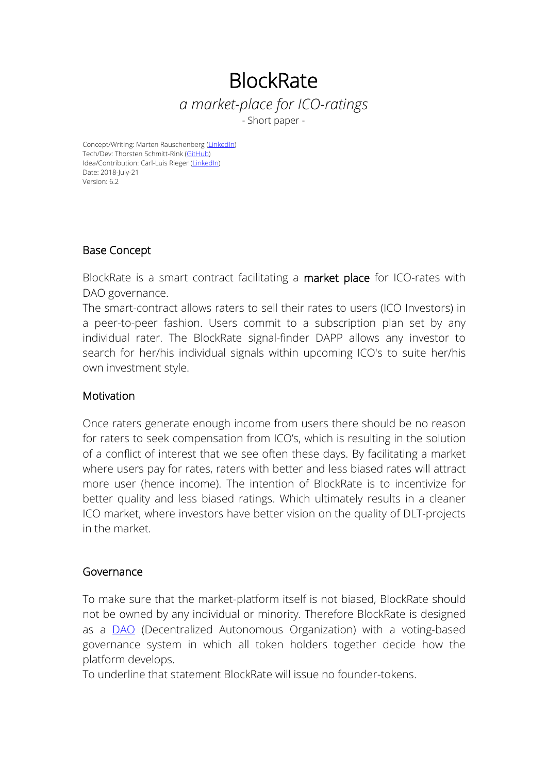# **BlockRate** *a market-place for ICO-ratings*

- Short paper -

Concept/Writing: Marten Rauschenberg ([LinkedIn](https://www.linkedin.com/in/martenrauschenberg/)) Tech/Dev: Thorsten Schmitt-Rink [\(GitHub](https://github.com/shrink0r)) Idea/Contribution: Carl-Luis Rieger ([LinkedIn\)](https://www.linkedin.com/in/carl-luis-rieger-b8965740/) Date: 2018-July-21 Version: 6.2

# Base Concept

BlockRate is a smart contract facilitating a market place for ICO-rates with DAO governance.

The smart-contract allows raters to sell their rates to users (ICO Investors) in a peer-to-peer fashion. Users commit to a subscription plan set by any individual rater. The BlockRate signal-finder DAPP allows any investor to search for her/his individual signals within upcoming ICO's to suite her/his own investment style.

# Motivation

Once raters generate enough income from users there should be no reason for raters to seek compensation from ICO's, which is resulting in the solution of a conflict of interest that we see often these days. By facilitating a market where users pay for rates, raters with better and less biased rates will attract more user (hence income). The intention of BlockRate is to incentivize for better quality and less biased ratings. Which ultimately results in a cleaner ICO market, where investors have better vision on the quality of DLT-projects in the market.

# Governance

To make sure that the market-platform itself is not biased, BlockRate should not be owned by any individual or minority. Therefore BlockRate is designed as a **[DAO](https://en.wikipedia.org/wiki/Decentralized_autonomous_organization)** (Decentralized Autonomous Organization) with a voting-based governance system in which all token holders together decide how the platform develops.

To underline that statement BlockRate will issue no founder-tokens.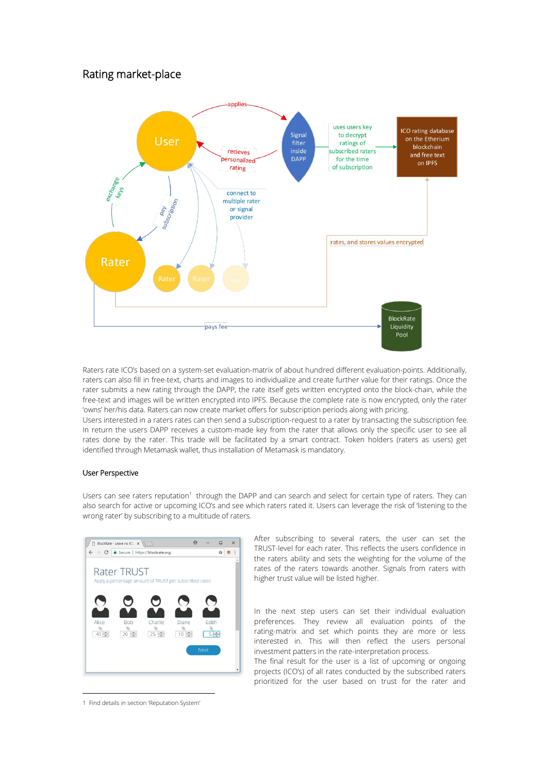# Rating market-place



Raters rate ICO's based on a system-set evaluation-matrix of about hundred different evaluation-points. Additionally, raters can also fill in free-text, charts and images to individualize and create further value for their ratings. Once the rater submits a new rating through the DAPP, the rate itself gets written encrypted onto the block-chain, while the free-text and images will be written encrypted into IPFS. Because the complete rate is now encrypted, only the rater 'owns' her/his data. Raters can now create market offers for subscription periods along with pricing.

Users interested in a raters rates can then send a subscription-request to a rater by transacting the subscription fee. In return the users DAPP receives a custom-made key from the rater that allows only the specific user to see all rates done by the rater. This trade will be facilitated by a smart contract. Token holders (raters as users) get identified through Metamask wallet, thus installation of Metamask is mandatory.

# User Perspective

Users can see raters reputation<sup>[1](#page-1-0)</sup> through the DAPP and can search and select for certain type of raters. They can also search for active or upcoming ICO's and see which raters rated it. Users can leverage the risk of 'listening to the wrong rater' by subscribing to a multitude of raters.



After subscribing to several raters, the user can set the TRUST-level for each rater. This reflects the users confidence in the raters ability and sets the weighting for the volume of the rates of the raters towards another. Signals from raters with higher trust value will be listed higher.

In the next step users can set their individual evaluation preferences. They review all evaluation points of the rating-matrix and set which points they are more or less interested in. This will then reflect the users personal investment patters in the rate-interpretation process.

The final result for the user is a list of upcoming or ongoing projects (ICO's) of all rates conducted by the subscribed raters prioritized for the user based on trust for the rater and

<span id="page-1-0"></span><sup>1</sup> Find details in section 'Reputation System'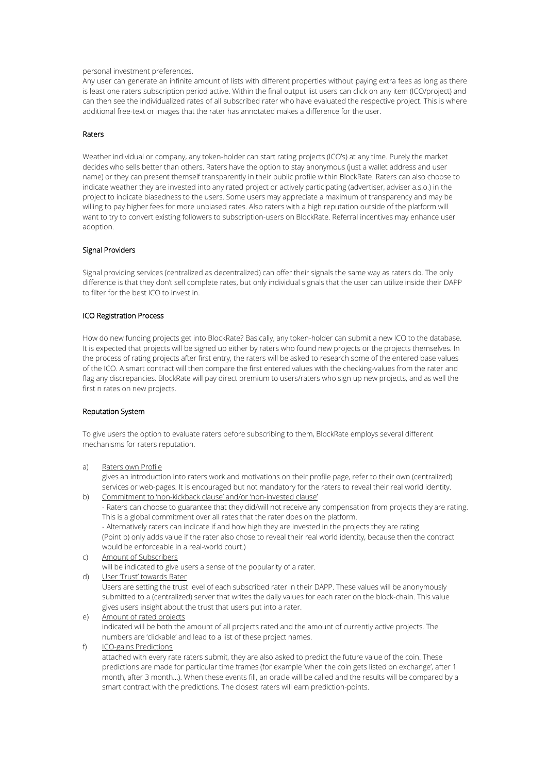#### personal investment preferences.

Any user can generate an infinite amount of lists with different properties without paying extra fees as long as there is least one raters subscription period active. Within the final output list users can click on any item (ICO/project) and can then see the individualized rates of all subscribed rater who have evaluated the respective project. This is where additional free-text or images that the rater has annotated makes a difference for the user.

## Raters

Weather individual or company, any token-holder can start rating projects (ICO's) at any time. Purely the market decides who sells better than others. Raters have the option to stay anonymous (just a wallet address and user name) or they can present themself transparently in their public profile within BlockRate. Raters can also choose to indicate weather they are invested into any rated project or actively participating (advertiser, adviser a.s.o.) in the project to indicate biasedness to the users. Some users may appreciate a maximum of transparency and may be willing to pay higher fees for more unbiased rates. Also raters with a high reputation outside of the platform will want to try to convert existing followers to subscription-users on BlockRate. Referral incentives may enhance user adoption.

#### Signal Providers

Signal providing services (centralized as decentralized) can offer their signals the same way as raters do. The only difference is that they don't sell complete rates, but only individual signals that the user can utilize inside their DAPP to filter for the best ICO to invest in.

# ICO Registration Process

How do new funding projects get into BlockRate? Basically, any token-holder can submit a new ICO to the database. It is expected that projects will be signed up either by raters who found new projects or the projects themselves. In the process of rating projects after first entry, the raters will be asked to research some of the entered base values of the ICO. A smart contract will then compare the first entered values with the checking-values from the rater and flag any discrepancies. BlockRate will pay direct premium to users/raters who sign up new projects, and as well the first n rates on new projects.

# Reputation System

To give users the option to evaluate raters before subscribing to them, BlockRate employs several different mechanisms for raters reputation.

a) Raters own Profile

gives an introduction into raters work and motivations on their profile page, refer to their own (centralized) services or web-pages. It is encouraged but not mandatory for the raters to reveal their real world identity.

b) Commitment to 'non-kickback clause' and/or 'non-invested clause'

- Raters can choose to guarantee that they did/will not receive any compensation from projects they are rating. This is a global commitment over all rates that the rater does on the platform.

- Alternatively raters can indicate if and how high they are invested in the projects they are rating. (Point b) only adds value if the rater also chose to reveal their real world identity, because then the contract would be enforceable in a real-world court.)

c) Amount of Subscribers

will be indicated to give users a sense of the popularity of a rater.

d) User 'Trust' towards Rater

Users are setting the trust level of each subscribed rater in their DAPP.These values will be anonymously submitted to a (centralized) server that writes the daily values foreach rater on the block-chain. This value gives users insight about the trust that users put into a rater.

- e) Amount of rated projects indicated will be both the amount of all projects rated and the amount of currently active projects. The numbers are 'clickable' and lead to a list of these project names.
- f) ICO-gains Predictions

attached with every rate raters submit, they are also asked to predict the future value of the coin. These predictions are made for particular time frames (for example 'when the coin gets listed on exchange', after 1 month, after 3 month...). When these events fill, an oracle will be called and the results will be compared by a smart contract with the predictions. The closest raters will earn prediction-points.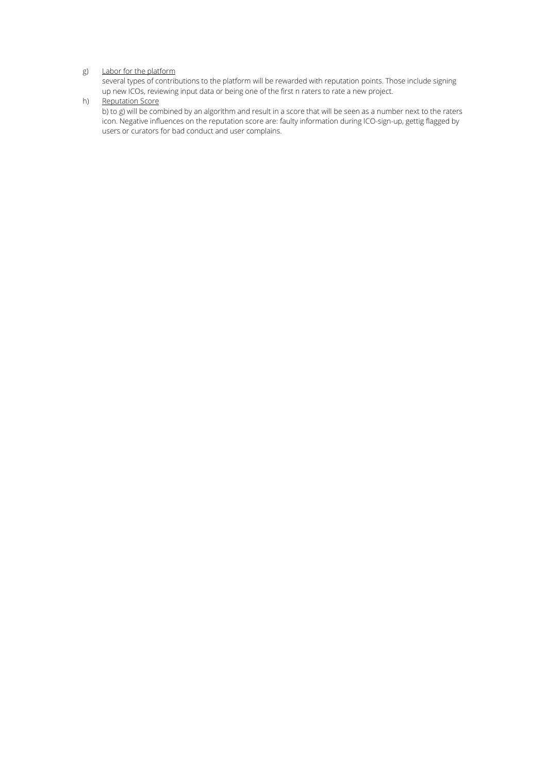# g) Labor for the platform

several types of contributions to the platform will be rewarded with reputation points. Those include signing up new ICOs, reviewing input data or being one of the first n raters to rate a new project.

# h) Reputation Score

b) to g) will be combined by an algorithm and result in ascore that will be seen as a number next to the raters icon. Negative influences on the reputation score are: faulty information during ICO-sign-up, gettig flagged by users or curators for bad conduct and user complains.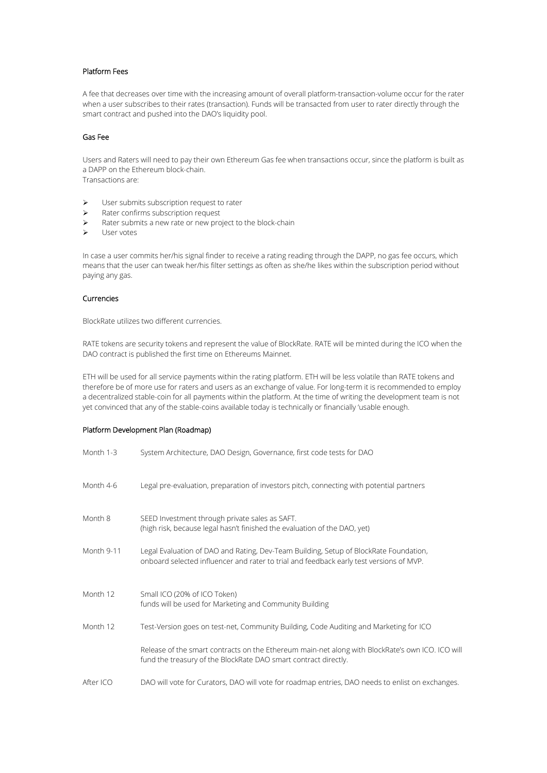# Platform Fees

A fee that decreases over time with the increasing amount of overall platform-transaction-volume occur for the rater when a user subscribes to their rates (transaction). Funds will be transacted from user to rater directly through the smart contract and pushed into the DAO's liquidity pool.

#### Gas Fee

Users and Raters will need to pay their own Ethereum Gas fee when transactions occur, since the platform is built as a DAPP on the Ethereum block-chain. Transactions are:

- $\triangleright$  User submits subscription request to rater
- $\triangleright$  Rater confirms subscription request
- $\triangleright$  Rater submits a new rate or new project to the block-chain
- User votes

In case a user commits her/his signal finder to receive a rating reading through the DAPP, no gas fee occurs, which means that the user can tweak her/his filter settings as often as she/he likes within the subscription period without paying any gas.

# Currencies

BlockRate utilizes two different currencies.

RATE tokens are security tokens and represent the value of BlockRate. RATE will be minted during the ICO when the DAO contract is published the first time on Ethereums Mainnet.

ETH will be used for all service payments within the rating platform. ETH will be less volatile than RATE tokens and therefore be of more use for raters and users as an exchange of value. For long-term it is recommended to employ a decentralized stable-coin for all payments within the platform. At the time of writing the development team is not yet convinced that any of the stable-coins available today is technically or financially 'usable enough.

#### Platform Development Plan (Roadmap)

| Month 1-3  | System Architecture, DAO Design, Governance, first code tests for DAO                                                                                                            |
|------------|----------------------------------------------------------------------------------------------------------------------------------------------------------------------------------|
| Month 4-6  | Legal pre-evaluation, preparation of investors pitch, connecting with potential partners                                                                                         |
| Month 8    | SEED Investment through private sales as SAFT.<br>(high risk, because legal hasn't finished the evaluation of the DAO, yet)                                                      |
| Month 9-11 | Legal Evaluation of DAO and Rating, Dev-Team Building, Setup of BlockRate Foundation,<br>onboard selected influencer and rater to trial and feedback early test versions of MVP. |
| Month 12   | Small ICO (20% of ICO Token)<br>funds will be used for Marketing and Community Building                                                                                          |
| Month 12   | Test-Version goes on test-net, Community Building, Code Auditing and Marketing for ICO                                                                                           |
|            | Release of the smart contracts on the Ethereum main-net along with BlockRate's own ICO. ICO will<br>fund the treasury of the BlockRate DAO smart contract directly.              |
| After ICO  | DAO will vote for Curators, DAO will vote for roadmap entries, DAO needs to enlist on exchanges.                                                                                 |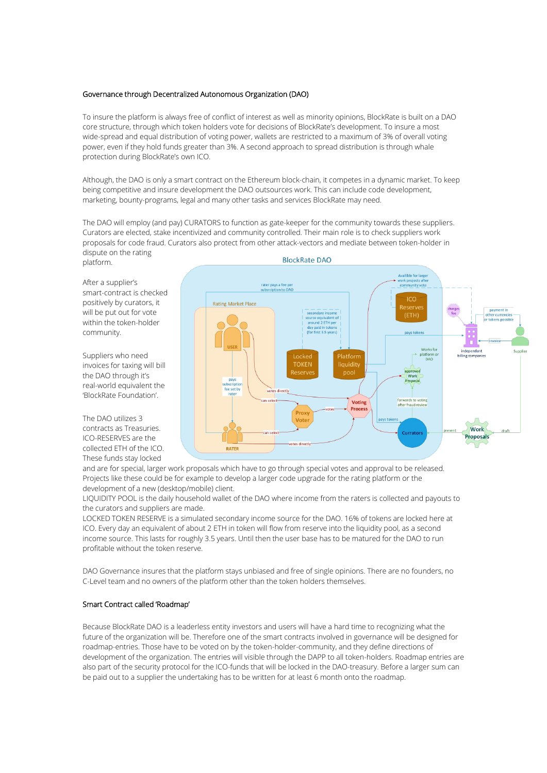# Governance through Decentralized Autonomous Organization (DAO)

To insure the platform is always free of conflict of interest as well as minority opinions, BlockRate is built on a DAO core structure, through which token holders vote for decisions of BlockRate's development. To insure a most wide-spread and equal distribution of voting power, wallets are restricted to a maximum of 3% of overall voting power, even if they hold funds greater than 3%. A second approach to spread distribution is through whale

protection during BlockRate's own ICO.<br>Although, the DAO is only a smart contract on the Ethereum block-chain, it competes in a dynamic market. To keep being competitive and insure development the DAO outsources work. This can include code development, marketing, bounty-programs, legal and many other tasks and services BlockRate may need.

The DAO will employ (and pay) CURATORS to function as gate-keeper for the community towards these suppliers. Curators are elected, stake incentivized and community controlled. Their main role is to check suppliers work proposals forcode fraud. Curators also protect from other attack-vectors and mediate between token-holder in dispute on the rating platform.

After a supplier's smart-contract is checked positively by curators, it will be put out for vote within the token-holder community.

Suppliers who need invoices for taxing will bill the DAO through it's real-world equivalent the 'BlockRate Foundation'.

The DAO utilizes 3 contracts as Treasuries. ICO-RESERVES are the collected ETH of the ICO. These funds stay locked



and are for special, larger work proposals which have to go through special votes and approval to be released. Projects like these could be for example to develop a larger code upgrade for the rating platform or the development of a new (desktop/mobile) client.

LIQUIDITY POOL is the daily household wallet of the DAO where income from the raters is collected and payouts to the curators and suppliers are made.

LOCKED TOKEN RESERVE is a simulated secondary income source for the DAO. 16% of tokens are locked here at ICO. Every day an equivalent of about 2 ETH in token will flow from reserve into the liquidity pool, as a second income source. This lasts for roughly 3.5 years. Until then the user base has to be matured for the DAO to run profitable without the token reserve.

DAO Governance insures that the platform stays unbiased and free of single opinions. There are no founders, no C-Level team and no owners of the platform other than the token holders themselves.

# Smart Contract called 'Roadmap'

Because BlockRate DAO is a leaderless entity investors and users will have a hard time to recognizing what the future of the organization will be. Therefore one of the smart contracts involved in governance will be designed for roadmap-entries. Those have to be voted on by the token-holder-community, and they define directions of development of the organization. The entries will visible through the DAPP to alltoken-holders. Roadmap entries are also part of the security protocol for the ICO-funds that will be locked in the DAO-treasury. Before a larger sum can be paid out to a supplier the undertaking has to be written for at least 6 month onto the roadmap.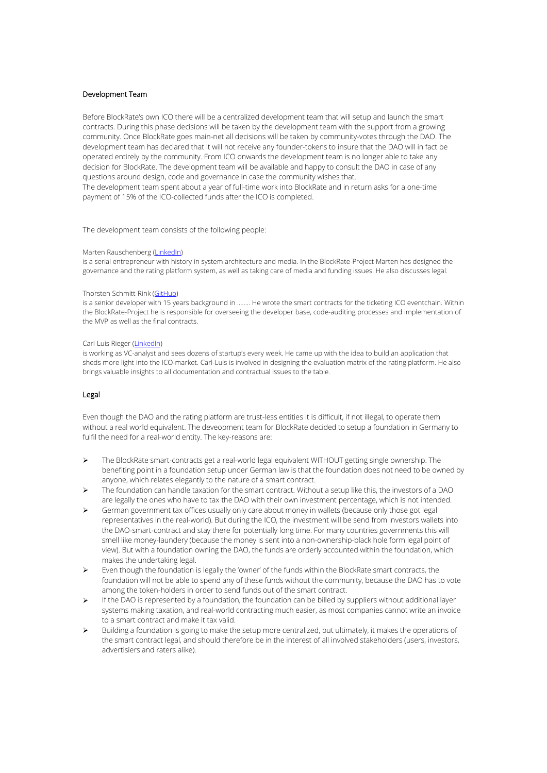## Development Team

Before BlockRate's own ICO there will be a centralized development team that will setup and launch the smart contracts. During this phase decisions will be taken by the development team with the support from a growing community. Once BlockRate goes main-net all decisions will be taken by community-votes through the DAO. The development team has declared that it will not receive any founder-tokens to insure that the DAO will in fact be operated entirely by the community. From ICO onwards the development team is no longer able to take any decision for BlockRate. The development team will be available and happy to consult the DAO in case of any questions around design, code and governance in case the community wishes that. The development team spent about a year of full-time work into BlockRate and in return asks fora one-time payment of 15% of the ICO-collected funds after the ICO is completed.

#### The development team consists of the following people:

#### Marten Rauschenberg ([LinkedIn](https://www.linkedin.com/in/martenrauschenberg/))

is a serial entrepreneur with history in system architecture and media. In the BlockRate-Project Marten has designed the governance and the rating platform system, as well as taking care of media and funding issues. He also discusses legal.

#### Thorsten Schmitt-Rink [\(GitHub](https://github.com/shrink0r))

is a senior developer with 15 years background in ........ He wrote the smart contracts forthe ticketing ICO eventchain. Within the BlockRate-Project he is responsible for overseeing the developer base, code-auditing processes and implementation of the MVP as well as the final contracts.

#### Carl-Luis Rieger [\(LinkedIn\)](https://www.linkedin.com/in/carl-luis-rieger-b8965740/)

is working as VC-analyst and sees dozens of startup's every week. He came up with the idea to build an application that sheds more light into the ICO-market. Carl-Luis is involved in designing the evaluation matrix of the rating platform. He also brings valuable insights to all documentation and contractual issues to the table.

#### Legal

Even though the DAO and the rating platform are trust-less entities it is difficult, if not illegal, to operate them without a real world equivalent. The deveopment team for BlockRate decided to setup a foundation in Germany to fulfil the need for a real-world entity. The key-reasons are:

- The BlockRate smart-contracts get a real-world legal equivalent WITHOUT getting single ownership. The benefiting point in a foundation setup under German law is that the foundation does not need to be owned by anyone, which relates elegantly to the nature of a smart contract.
- $\triangleright$  The foundation can handle taxation for the smart contract. Without a setup like this, the investors of a DAO are legally the ones who have to tax the DAO with their own investment percentage, which is not intended.
- $\triangleright$  German government tax offices usually only care about money in wallets (because only those got legal representatives in the real-world). But during the ICO, the investment will be send from investors wallets into the DAO-smart-contract and stay there for potentially long time. For many countries governments this will smell like money-laundery (because the money is sent into a non-ownership-black hole form legal point of view). But with a foundation owning the DAO, the funds are orderly accounted within the foundation, which makes the undertaking legal.
- Even though the foundation is legally the 'owner' of the funds within the BlockRate smart contracts, the foundation will not be able to spend any of these funds without the community, because the DAO has to vote among the token-holders in order to send funds out of the smart contract.
- If the DAO is represented by a foundation, the foundation can be billed by suppliers without additional layer systems making taxation, and real-world contracting much easier, as most companies cannot write an invoice to a smart contract and make it tax valid.
- $\triangleright$  Building a foundation is going to make the setup more centralized, but ultimately, it makes the operations of the smart contract legal, and should therefore be in the interest of all involved stakeholders (users, investors, advertisiers and raters alike).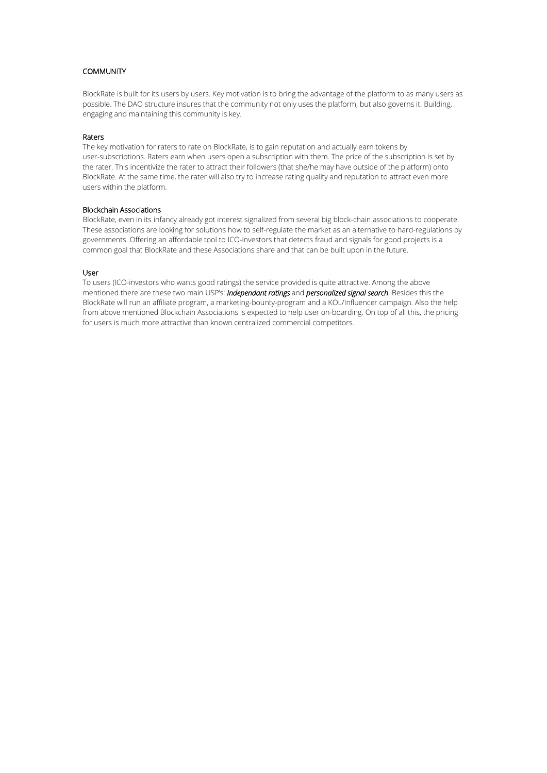# **COMMUNITY**

BlockRate is built for its users by users. Key motivation is to bring the advantage of the platform to as many users as possible. The DAO structure insures that the community not only uses the platform, but also governs it. Building, engaging and maintaining this community is key.

# Raters

The keymotivation for raters to rate on BlockRate, is to gain reputation and actually earn tokens by user-subscriptions. Raters earn when users open a subscription with them. The price of the subscription is set by the rater. This incentivize the rater to attract their followers (that she/he may have outside ofthe platform) onto BlockRate. At the same time, the rater will also try to increase rating quality and reputation to attract even more users within the platform.

# Blockchain Associations

BlockRate, even in itsinfancy already got interest signalized from several big block-chain associations to cooperate. These associations are looking for solutions how to self-regulate the market as an alternative to hard-regulations by governments. Offering an affordable tool to ICO-investors that detects fraud and signals for good projects is a common goal that BlockRate and these Associations share and that can be built upon in the future.

#### User

To users (ICO-investors who wants good ratings) the service provided is quite attractive. Among the above mentioned there are these two main USP's: *Independant ratings* and *personalized signal search*.Besides this the BlockRate will run an affiliate program, a marketing-bounty-program and a KOL/Influencer campaign. Also the help from above mentioned Blockchain Associations is expected to help user on-boarding. On top of all this, the pricing for users is much more attractive than known centralized commercial competitors.